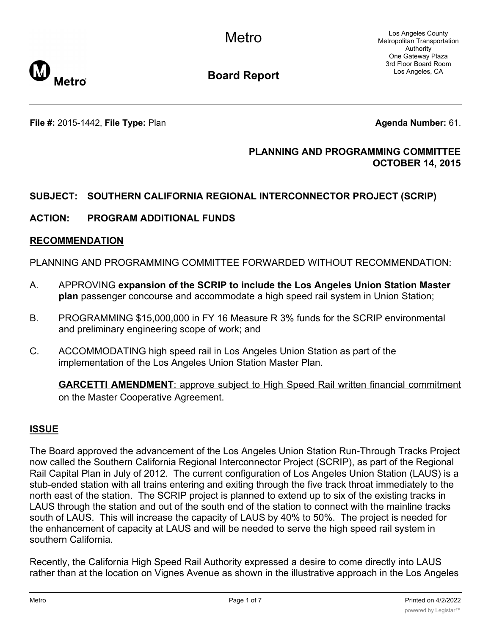Los Angeles County Metropolitan Transportation Authority One Gateway Plaza 3rd Floor Board Room Los Angeles, CA



**Board Report**

**File #:** 2015-1442, File Type: Plan **Agenda Number:** 61.

# **PLANNING AND PROGRAMMING COMMITTEE OCTOBER 14, 2015**

# **SUBJECT: SOUTHERN CALIFORNIA REGIONAL INTERCONNECTOR PROJECT (SCRIP)**

# **ACTION: PROGRAM ADDITIONAL FUNDS**

## **RECOMMENDATION**

PLANNING AND PROGRAMMING COMMITTEE FORWARDED WITHOUT RECOMMENDATION:

- A. APPROVING **expansion of the SCRIP to include the Los Angeles Union Station Master plan** passenger concourse and accommodate a high speed rail system in Union Station;
- B. PROGRAMMING \$15,000,000 in FY 16 Measure R 3% funds for the SCRIP environmental and preliminary engineering scope of work; and
- C. ACCOMMODATING high speed rail in Los Angeles Union Station as part of the implementation of the Los Angeles Union Station Master Plan.

**GARCETTI AMENDMENT**: approve subject to High Speed Rail written financial commitment on the Master Cooperative Agreement.

# **ISSUE**

The Board approved the advancement of the Los Angeles Union Station Run-Through Tracks Project now called the Southern California Regional Interconnector Project (SCRIP), as part of the Regional Rail Capital Plan in July of 2012. The current configuration of Los Angeles Union Station (LAUS) is a stub-ended station with all trains entering and exiting through the five track throat immediately to the north east of the station. The SCRIP project is planned to extend up to six of the existing tracks in LAUS through the station and out of the south end of the station to connect with the mainline tracks south of LAUS. This will increase the capacity of LAUS by 40% to 50%. The project is needed for the enhancement of capacity at LAUS and will be needed to serve the high speed rail system in southern California.

Recently, the California High Speed Rail Authority expressed a desire to come directly into LAUS rather than at the location on Vignes Avenue as shown in the illustrative approach in the Los Angeles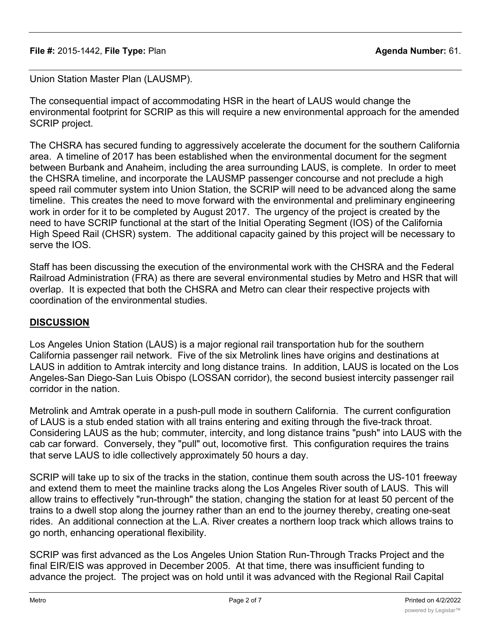Union Station Master Plan (LAUSMP).

The consequential impact of accommodating HSR in the heart of LAUS would change the environmental footprint for SCRIP as this will require a new environmental approach for the amended SCRIP project.

The CHSRA has secured funding to aggressively accelerate the document for the southern California area. A timeline of 2017 has been established when the environmental document for the segment between Burbank and Anaheim, including the area surrounding LAUS, is complete. In order to meet the CHSRA timeline, and incorporate the LAUSMP passenger concourse and not preclude a high speed rail commuter system into Union Station, the SCRIP will need to be advanced along the same timeline. This creates the need to move forward with the environmental and preliminary engineering work in order for it to be completed by August 2017. The urgency of the project is created by the need to have SCRIP functional at the start of the Initial Operating Segment (IOS) of the California High Speed Rail (CHSR) system. The additional capacity gained by this project will be necessary to serve the IOS.

Staff has been discussing the execution of the environmental work with the CHSRA and the Federal Railroad Administration (FRA) as there are several environmental studies by Metro and HSR that will overlap. It is expected that both the CHSRA and Metro can clear their respective projects with coordination of the environmental studies.

# **DISCUSSION**

Los Angeles Union Station (LAUS) is a major regional rail transportation hub for the southern California passenger rail network. Five of the six Metrolink lines have origins and destinations at LAUS in addition to Amtrak intercity and long distance trains. In addition, LAUS is located on the Los Angeles-San Diego-San Luis Obispo (LOSSAN corridor), the second busiest intercity passenger rail corridor in the nation.

Metrolink and Amtrak operate in a push-pull mode in southern California. The current configuration of LAUS is a stub ended station with all trains entering and exiting through the five-track throat. Considering LAUS as the hub; commuter, intercity, and long distance trains "push" into LAUS with the cab car forward. Conversely, they "pull" out, locomotive first. This configuration requires the trains that serve LAUS to idle collectively approximately 50 hours a day.

SCRIP will take up to six of the tracks in the station, continue them south across the US-101 freeway and extend them to meet the mainline tracks along the Los Angeles River south of LAUS. This will allow trains to effectively "run-through" the station, changing the station for at least 50 percent of the trains to a dwell stop along the journey rather than an end to the journey thereby, creating one-seat rides. An additional connection at the L.A. River creates a northern loop track which allows trains to go north, enhancing operational flexibility.

SCRIP was first advanced as the Los Angeles Union Station Run-Through Tracks Project and the final EIR/EIS was approved in December 2005. At that time, there was insufficient funding to advance the project. The project was on hold until it was advanced with the Regional Rail Capital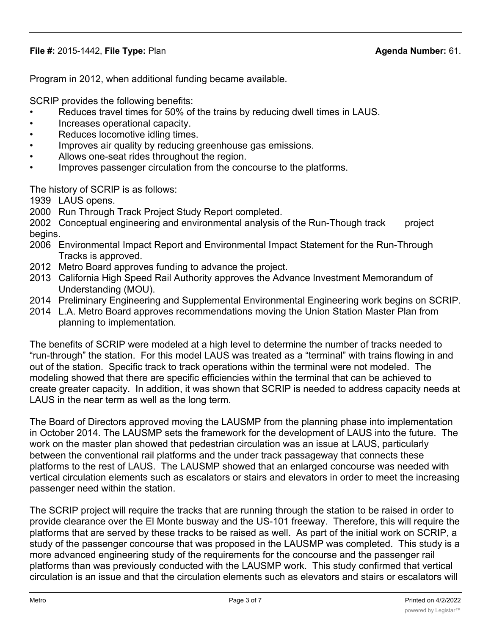Program in 2012, when additional funding became available.

SCRIP provides the following benefits:

- Reduces travel times for 50% of the trains by reducing dwell times in LAUS.
- Increases operational capacity.
- Reduces locomotive idling times.
- Improves air quality by reducing greenhouse gas emissions.
- Allows one-seat rides throughout the region.
- Improves passenger circulation from the concourse to the platforms.

The history of SCRIP is as follows:

1939 LAUS opens.

2000 Run Through Track Project Study Report completed.

2002 Conceptual engineering and environmental analysis of the Run-Though track project begins.

- 2006 Environmental Impact Report and Environmental Impact Statement for the Run-Through Tracks is approved.
- 2012 Metro Board approves funding to advance the project.
- 2013 California High Speed Rail Authority approves the Advance Investment Memorandum of Understanding (MOU).
- 2014 Preliminary Engineering and Supplemental Environmental Engineering work begins on SCRIP.
- 2014 L.A. Metro Board approves recommendations moving the Union Station Master Plan from planning to implementation.

The benefits of SCRIP were modeled at a high level to determine the number of tracks needed to "run-through" the station. For this model LAUS was treated as a "terminal" with trains flowing in and out of the station. Specific track to track operations within the terminal were not modeled. The modeling showed that there are specific efficiencies within the terminal that can be achieved to create greater capacity. In addition, it was shown that SCRIP is needed to address capacity needs at LAUS in the near term as well as the long term.

The Board of Directors approved moving the LAUSMP from the planning phase into implementation in October 2014. The LAUSMP sets the framework for the development of LAUS into the future. The work on the master plan showed that pedestrian circulation was an issue at LAUS, particularly between the conventional rail platforms and the under track passageway that connects these platforms to the rest of LAUS. The LAUSMP showed that an enlarged concourse was needed with vertical circulation elements such as escalators or stairs and elevators in order to meet the increasing passenger need within the station.

The SCRIP project will require the tracks that are running through the station to be raised in order to provide clearance over the El Monte busway and the US-101 freeway. Therefore, this will require the platforms that are served by these tracks to be raised as well. As part of the initial work on SCRIP, a study of the passenger concourse that was proposed in the LAUSMP was completed. This study is a more advanced engineering study of the requirements for the concourse and the passenger rail platforms than was previously conducted with the LAUSMP work. This study confirmed that vertical circulation is an issue and that the circulation elements such as elevators and stairs or escalators will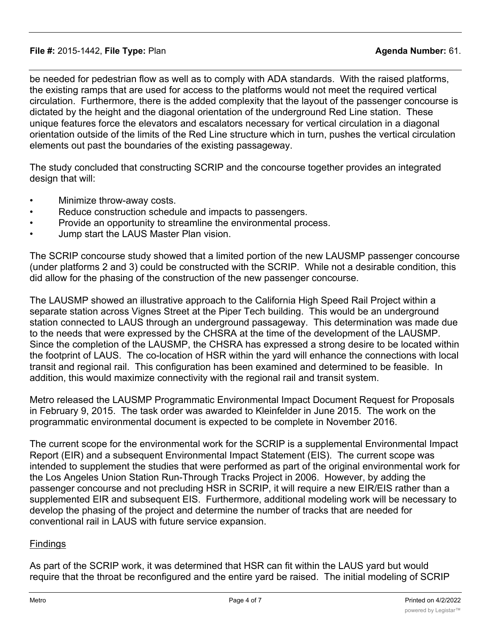be needed for pedestrian flow as well as to comply with ADA standards. With the raised platforms, the existing ramps that are used for access to the platforms would not meet the required vertical circulation. Furthermore, there is the added complexity that the layout of the passenger concourse is dictated by the height and the diagonal orientation of the underground Red Line station. These unique features force the elevators and escalators necessary for vertical circulation in a diagonal orientation outside of the limits of the Red Line structure which in turn, pushes the vertical circulation elements out past the boundaries of the existing passageway.

The study concluded that constructing SCRIP and the concourse together provides an integrated design that will:

- Minimize throw-away costs.
- Reduce construction schedule and impacts to passengers.
- Provide an opportunity to streamline the environmental process.
- Jump start the LAUS Master Plan vision.

The SCRIP concourse study showed that a limited portion of the new LAUSMP passenger concourse (under platforms 2 and 3) could be constructed with the SCRIP. While not a desirable condition, this did allow for the phasing of the construction of the new passenger concourse.

The LAUSMP showed an illustrative approach to the California High Speed Rail Project within a separate station across Vignes Street at the Piper Tech building. This would be an underground station connected to LAUS through an underground passageway. This determination was made due to the needs that were expressed by the CHSRA at the time of the development of the LAUSMP. Since the completion of the LAUSMP, the CHSRA has expressed a strong desire to be located within the footprint of LAUS. The co-location of HSR within the yard will enhance the connections with local transit and regional rail. This configuration has been examined and determined to be feasible. In addition, this would maximize connectivity with the regional rail and transit system.

Metro released the LAUSMP Programmatic Environmental Impact Document Request for Proposals in February 9, 2015. The task order was awarded to Kleinfelder in June 2015. The work on the programmatic environmental document is expected to be complete in November 2016.

The current scope for the environmental work for the SCRIP is a supplemental Environmental Impact Report (EIR) and a subsequent Environmental Impact Statement (EIS). The current scope was intended to supplement the studies that were performed as part of the original environmental work for the Los Angeles Union Station Run-Through Tracks Project in 2006. However, by adding the passenger concourse and not precluding HSR in SCRIP, it will require a new EIR/EIS rather than a supplemented EIR and subsequent EIS. Furthermore, additional modeling work will be necessary to develop the phasing of the project and determine the number of tracks that are needed for conventional rail in LAUS with future service expansion.

# **Findings**

As part of the SCRIP work, it was determined that HSR can fit within the LAUS yard but would require that the throat be reconfigured and the entire yard be raised. The initial modeling of SCRIP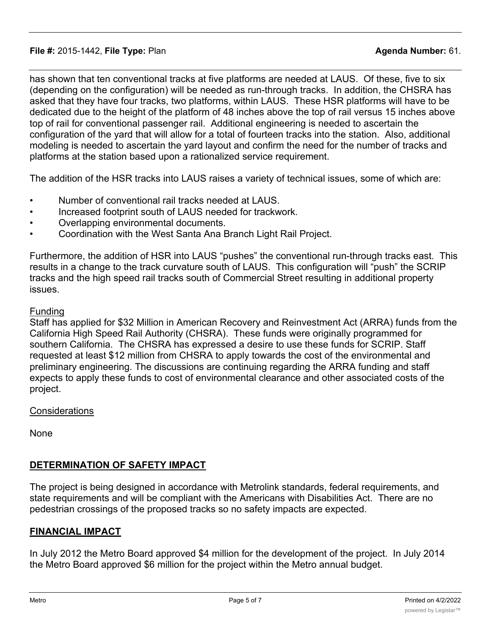has shown that ten conventional tracks at five platforms are needed at LAUS. Of these, five to six (depending on the configuration) will be needed as run-through tracks. In addition, the CHSRA has asked that they have four tracks, two platforms, within LAUS. These HSR platforms will have to be dedicated due to the height of the platform of 48 inches above the top of rail versus 15 inches above top of rail for conventional passenger rail. Additional engineering is needed to ascertain the configuration of the yard that will allow for a total of fourteen tracks into the station. Also, additional modeling is needed to ascertain the yard layout and confirm the need for the number of tracks and platforms at the station based upon a rationalized service requirement.

The addition of the HSR tracks into LAUS raises a variety of technical issues, some of which are:

- Number of conventional rail tracks needed at LAUS.
- Increased footprint south of LAUS needed for trackwork.
- Overlapping environmental documents.
- Coordination with the West Santa Ana Branch Light Rail Project.

Furthermore, the addition of HSR into LAUS "pushes" the conventional run-through tracks east. This results in a change to the track curvature south of LAUS. This configuration will "push" the SCRIP tracks and the high speed rail tracks south of Commercial Street resulting in additional property issues.

### Funding

Staff has applied for \$32 Million in American Recovery and Reinvestment Act (ARRA) funds from the California High Speed Rail Authority (CHSRA). These funds were originally programmed for southern California. The CHSRA has expressed a desire to use these funds for SCRIP. Staff requested at least \$12 million from CHSRA to apply towards the cost of the environmental and preliminary engineering. The discussions are continuing regarding the ARRA funding and staff expects to apply these funds to cost of environmental clearance and other associated costs of the project.

### **Considerations**

None

## **DETERMINATION OF SAFETY IMPACT**

The project is being designed in accordance with Metrolink standards, federal requirements, and state requirements and will be compliant with the Americans with Disabilities Act. There are no pedestrian crossings of the proposed tracks so no safety impacts are expected.

### **FINANCIAL IMPACT**

In July 2012 the Metro Board approved \$4 million for the development of the project. In July 2014 the Metro Board approved \$6 million for the project within the Metro annual budget.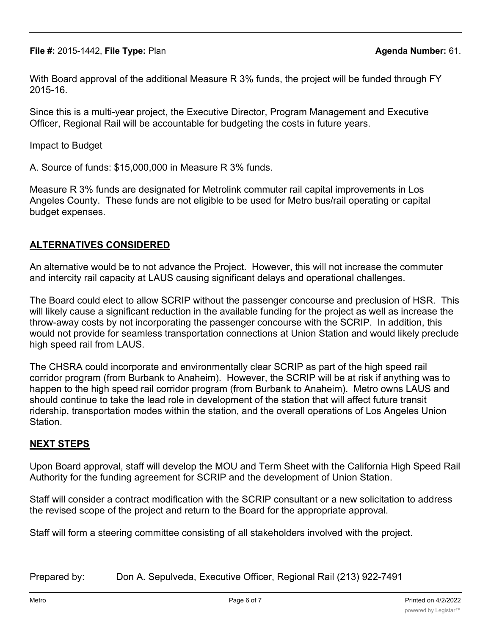**File #:** 2015-1442, **File Type:** Plan **Agenda Number:** 61.

With Board approval of the additional Measure R 3% funds, the project will be funded through FY 2015-16.

Since this is a multi-year project, the Executive Director, Program Management and Executive Officer, Regional Rail will be accountable for budgeting the costs in future years.

Impact to Budget

A. Source of funds: \$15,000,000 in Measure R 3% funds.

Measure R 3% funds are designated for Metrolink commuter rail capital improvements in Los Angeles County. These funds are not eligible to be used for Metro bus/rail operating or capital budget expenses.

# **ALTERNATIVES CONSIDERED**

An alternative would be to not advance the Project. However, this will not increase the commuter and intercity rail capacity at LAUS causing significant delays and operational challenges.

The Board could elect to allow SCRIP without the passenger concourse and preclusion of HSR. This will likely cause a significant reduction in the available funding for the project as well as increase the throw-away costs by not incorporating the passenger concourse with the SCRIP. In addition, this would not provide for seamless transportation connections at Union Station and would likely preclude high speed rail from LAUS.

The CHSRA could incorporate and environmentally clear SCRIP as part of the high speed rail corridor program (from Burbank to Anaheim). However, the SCRIP will be at risk if anything was to happen to the high speed rail corridor program (from Burbank to Anaheim). Metro owns LAUS and should continue to take the lead role in development of the station that will affect future transit ridership, transportation modes within the station, and the overall operations of Los Angeles Union Station.

## **NEXT STEPS**

Upon Board approval, staff will develop the MOU and Term Sheet with the California High Speed Rail Authority for the funding agreement for SCRIP and the development of Union Station.

Staff will consider a contract modification with the SCRIP consultant or a new solicitation to address the revised scope of the project and return to the Board for the appropriate approval.

Staff will form a steering committee consisting of all stakeholders involved with the project.

Prepared by: Don A. Sepulveda, Executive Officer, Regional Rail (213) 922-7491